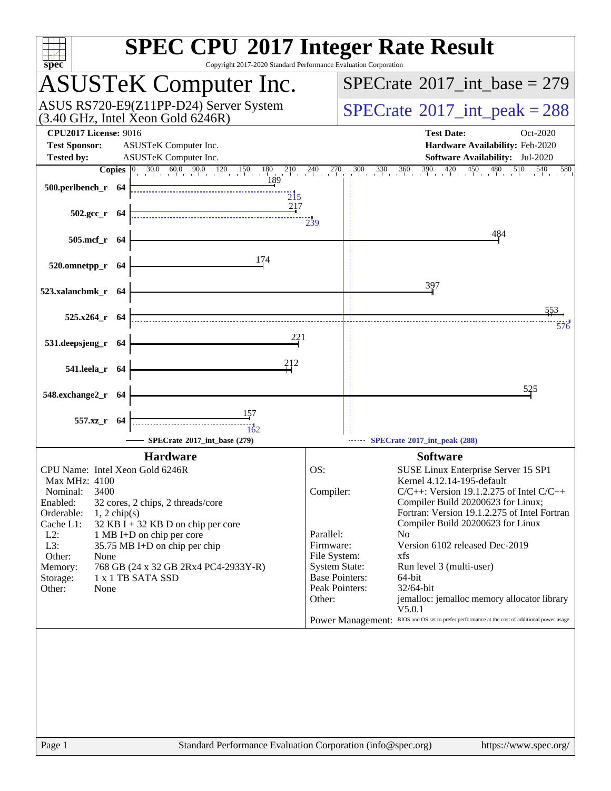| <b>SPEC CPU®2017 Integer Rate Result</b><br>Copyright 2017-2020 Standard Performance Evaluation Corporation<br>spec                                                                                                                                                                       |                           |                                                                                               |
|-------------------------------------------------------------------------------------------------------------------------------------------------------------------------------------------------------------------------------------------------------------------------------------------|---------------------------|-----------------------------------------------------------------------------------------------|
| <b>ASUSTeK Computer Inc.</b>                                                                                                                                                                                                                                                              |                           | $SPECrate^{\circledast}2017\_int\_base = 279$                                                 |
| ASUS RS720-E9(Z11PP-D24) Server System<br>(3.40 GHz, Intel Xeon Gold 6246R)                                                                                                                                                                                                               |                           | $SPECTate$ <sup>®</sup> 2017_int_peak = 288                                                   |
| <b>CPU2017 License: 9016</b>                                                                                                                                                                                                                                                              |                           | <b>Test Date:</b><br>Oct-2020                                                                 |
| <b>Test Sponsor:</b><br>ASUSTeK Computer Inc.                                                                                                                                                                                                                                             |                           | Hardware Availability: Feb-2020                                                               |
| <b>Tested by:</b><br>ASUSTeK Computer Inc.                                                                                                                                                                                                                                                |                           | Software Availability: Jul-2020                                                               |
| <b>Copies</b> $\begin{bmatrix} 0 & 30.0 & 60.0 & 90.0 & 120 & 150 & 180 & 210 & 240 & 270 \\ 189 & 189 & 189 & 180 & 210 & 240 & 210 \\ 189 & 189 & 189 & 210 & 210 & 210 \\ 210 & 210 & 210 & 210 & 210 & 210 \\ 210 & 210 & 210 & 210 & 210 & 210 \\ 210 & 210 & 210 & 210 & 210 & 210$ |                           | $300$ $330$ $360$ $390$ $420$ $450$ $480$ $510$ $540$<br>580                                  |
| $500.$ perlbench_r 64                                                                                                                                                                                                                                                                     | $\overline{215}$          |                                                                                               |
|                                                                                                                                                                                                                                                                                           | 217                       |                                                                                               |
| $502.\text{gcc}_r$ 64                                                                                                                                                                                                                                                                     | $\frac{11}{239}$          |                                                                                               |
| 505.mcf_r 64                                                                                                                                                                                                                                                                              |                           | 484                                                                                           |
|                                                                                                                                                                                                                                                                                           |                           |                                                                                               |
| 174<br>520.omnetpp_r 64                                                                                                                                                                                                                                                                   |                           |                                                                                               |
|                                                                                                                                                                                                                                                                                           |                           |                                                                                               |
| 523.xalancbmk_r 64                                                                                                                                                                                                                                                                        |                           | 397                                                                                           |
|                                                                                                                                                                                                                                                                                           |                           | 553                                                                                           |
| 525.x264_r 64                                                                                                                                                                                                                                                                             |                           | 576                                                                                           |
|                                                                                                                                                                                                                                                                                           | 221                       |                                                                                               |
| 531.deepsjeng_r 64                                                                                                                                                                                                                                                                        |                           |                                                                                               |
| 541.leela_r 64                                                                                                                                                                                                                                                                            | 212                       |                                                                                               |
|                                                                                                                                                                                                                                                                                           |                           |                                                                                               |
| 548.exchange2_r 64                                                                                                                                                                                                                                                                        |                           | 525                                                                                           |
| <u>15</u> 7                                                                                                                                                                                                                                                                               |                           |                                                                                               |
| 557.xz_r 64<br>162                                                                                                                                                                                                                                                                        |                           |                                                                                               |
| SPECrate®2017_int_base (279)                                                                                                                                                                                                                                                              |                           | SPECrate*2017_int_peak (288)                                                                  |
| <b>Hardware</b>                                                                                                                                                                                                                                                                           |                           | <b>Software</b>                                                                               |
| CPU Name: Intel Xeon Gold 6246R                                                                                                                                                                                                                                                           | OS:                       | SUSE Linux Enterprise Server 15 SP1                                                           |
| <b>Max MHz: 4100</b>                                                                                                                                                                                                                                                                      |                           | Kernel 4.12.14-195-default                                                                    |
| 3400<br>Nominal:                                                                                                                                                                                                                                                                          | Compiler:                 | $C/C++$ : Version 19.1.2.275 of Intel $C/C++$                                                 |
| Enabled:<br>32 cores, 2 chips, 2 threads/core<br>Orderable:<br>$1, 2$ chip(s)                                                                                                                                                                                                             |                           | Compiler Build 20200623 for Linux;<br>Fortran: Version 19.1.2.275 of Intel Fortran            |
| Cache L1:<br>$32$ KB I + 32 KB D on chip per core                                                                                                                                                                                                                                         |                           | Compiler Build 20200623 for Linux                                                             |
| $L2$ :<br>1 MB I+D on chip per core                                                                                                                                                                                                                                                       | Parallel:                 | N <sub>0</sub>                                                                                |
| L3:<br>35.75 MB I+D on chip per chip<br>Other:<br>None                                                                                                                                                                                                                                    | Firmware:<br>File System: | Version 6102 released Dec-2019<br>xfs                                                         |
| Memory:<br>768 GB (24 x 32 GB 2Rx4 PC4-2933Y-R)                                                                                                                                                                                                                                           |                           | <b>System State:</b><br>Run level 3 (multi-user)                                              |
| 1 x 1 TB SATA SSD<br>Storage:                                                                                                                                                                                                                                                             |                           | <b>Base Pointers:</b><br>64-bit                                                               |
| Other:<br>None                                                                                                                                                                                                                                                                            | Other:                    | Peak Pointers:<br>32/64-bit<br>jemalloc: jemalloc memory allocator library                    |
|                                                                                                                                                                                                                                                                                           |                           | V5.0.1                                                                                        |
|                                                                                                                                                                                                                                                                                           |                           | Power Management: BIOS and OS set to prefer performance at the cost of additional power usage |
|                                                                                                                                                                                                                                                                                           |                           |                                                                                               |
|                                                                                                                                                                                                                                                                                           |                           |                                                                                               |
|                                                                                                                                                                                                                                                                                           |                           |                                                                                               |
|                                                                                                                                                                                                                                                                                           |                           |                                                                                               |
|                                                                                                                                                                                                                                                                                           |                           |                                                                                               |
|                                                                                                                                                                                                                                                                                           |                           |                                                                                               |
|                                                                                                                                                                                                                                                                                           |                           |                                                                                               |
|                                                                                                                                                                                                                                                                                           |                           |                                                                                               |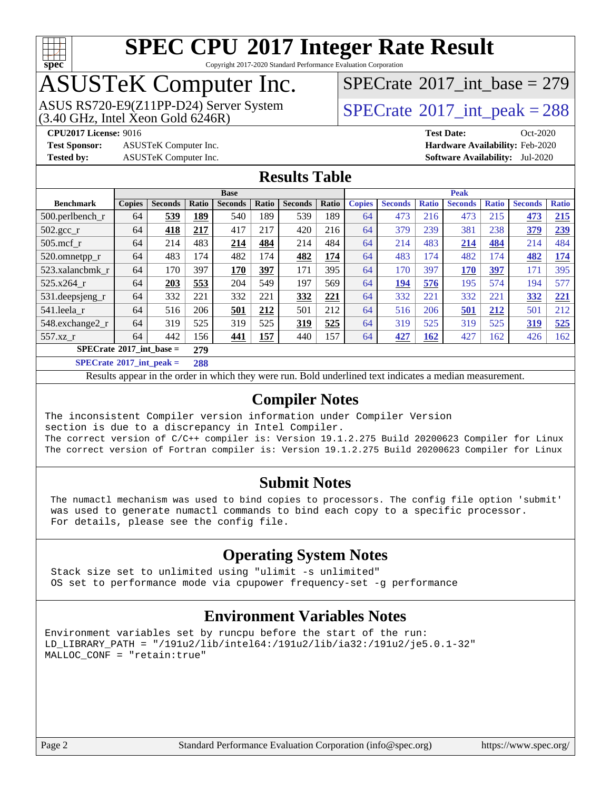

Copyright 2017-2020 Standard Performance Evaluation Corporation

# ASUSTeK Computer Inc.

ASUS RS720-E9(Z11PP-D24) Server System  $(3.40 \text{ GHz}, \text{ Intel Xeon Gold } 6246\text{R})$   $\big| \text{ SPECrate}^{\circledR} 2017 \text{ int\_peak} = 288$  $\big| \text{ SPECrate}^{\circledR} 2017 \text{ int\_peak} = 288$  $\big| \text{ SPECrate}^{\circledR} 2017 \text{ int\_peak} = 288$ 

 $SPECTate$ <sup>®</sup>[2017\\_int\\_base =](http://www.spec.org/auto/cpu2017/Docs/result-fields.html#SPECrate2017intbase) 279

**[Test Sponsor:](http://www.spec.org/auto/cpu2017/Docs/result-fields.html#TestSponsor)** ASUSTeK Computer Inc. **[Hardware Availability:](http://www.spec.org/auto/cpu2017/Docs/result-fields.html#HardwareAvailability)** Feb-2020

**[CPU2017 License:](http://www.spec.org/auto/cpu2017/Docs/result-fields.html#CPU2017License)** 9016 **[Test Date:](http://www.spec.org/auto/cpu2017/Docs/result-fields.html#TestDate)** Oct-2020 **[Tested by:](http://www.spec.org/auto/cpu2017/Docs/result-fields.html#Testedby)** ASUSTeK Computer Inc. **[Software Availability:](http://www.spec.org/auto/cpu2017/Docs/result-fields.html#SoftwareAvailability)** Jul-2020

### **[Results Table](http://www.spec.org/auto/cpu2017/Docs/result-fields.html#ResultsTable)**

|                                            | <b>Base</b>   |                |       |                |       | <b>Peak</b>    |       |               |                |              |                |              |                |              |
|--------------------------------------------|---------------|----------------|-------|----------------|-------|----------------|-------|---------------|----------------|--------------|----------------|--------------|----------------|--------------|
| <b>Benchmark</b>                           | <b>Copies</b> | <b>Seconds</b> | Ratio | <b>Seconds</b> | Ratio | <b>Seconds</b> | Ratio | <b>Copies</b> | <b>Seconds</b> | <b>Ratio</b> | <b>Seconds</b> | <b>Ratio</b> | <b>Seconds</b> | <b>Ratio</b> |
| $500$ .perlbench r                         | 64            | 539            | 189   | 540            | 189   | 539            | 189   | 64            | 473            | 216          | 473            | 215          | 473            | 215          |
| $502.\text{gcc\_r}$                        | 64            | 418            | 217   | 417            | 217   | 420            | 216   | 64            | 379            | 239          | 381            | 238          | 379            | 239          |
| $505$ .mcf r                               | 64            | 214            | 483   | 214            | 484   | 214            | 484   | 64            | 214            | 483          | 214            | 484          | 214            | 484          |
| 520.omnetpp_r                              | 64            | 483            | 174   | 482            | 174   | 482            | 174   | 64            | 483            | 174          | 482            | 174          | 482            | 174          |
| 523.xalancbmk r                            | 64            | 170            | 397   | 170            | 397   | 171            | 395   | 64            | 170            | 397          | 170            | 397          | 171            | 395          |
| $525.x264$ r                               | 64            | 203            | 553   | 204            | 549   | 197            | 569   | 64            | 194            | 576          | 195            | 574          | 194            | 577          |
| 531.deepsjeng_r                            | 64            | 332            | 221   | 332            | 221   | 332            | 221   | 64            | 332            | 221          | 332            | 221          | 332            | 221          |
| 541.leela r                                | 64            | 516            | 206   | 501            | 212   | 501            | 212   | 64            | 516            | 206          | 501            | 212          | 501            | 212          |
| 548.exchange2_r                            | 64            | 319            | 525   | 319            | 525   | 319            | 525   | 64            | 319            | 525          | 319            | 525          | 319            | 525          |
| $557.xz$ r                                 | 64            | 442            | 156   | 441            | 157   | 440            | 157   | 64            | 427            | 162          | 427            | 162          | 426            | 162          |
| $SPECrate^{\circ}2017\_int\_base =$<br>279 |               |                |       |                |       |                |       |               |                |              |                |              |                |              |

**[SPECrate](http://www.spec.org/auto/cpu2017/Docs/result-fields.html#SPECrate2017intpeak)[2017\\_int\\_peak =](http://www.spec.org/auto/cpu2017/Docs/result-fields.html#SPECrate2017intpeak) 288**

Results appear in the [order in which they were run](http://www.spec.org/auto/cpu2017/Docs/result-fields.html#RunOrder). Bold underlined text [indicates a median measurement](http://www.spec.org/auto/cpu2017/Docs/result-fields.html#Median).

### **[Compiler Notes](http://www.spec.org/auto/cpu2017/Docs/result-fields.html#CompilerNotes)**

The inconsistent Compiler version information under Compiler Version section is due to a discrepancy in Intel Compiler. The correct version of C/C++ compiler is: Version 19.1.2.275 Build 20200623 Compiler for Linux The correct version of Fortran compiler is: Version 19.1.2.275 Build 20200623 Compiler for Linux

#### **[Submit Notes](http://www.spec.org/auto/cpu2017/Docs/result-fields.html#SubmitNotes)**

 The numactl mechanism was used to bind copies to processors. The config file option 'submit' was used to generate numactl commands to bind each copy to a specific processor. For details, please see the config file.

### **[Operating System Notes](http://www.spec.org/auto/cpu2017/Docs/result-fields.html#OperatingSystemNotes)**

 Stack size set to unlimited using "ulimit -s unlimited" OS set to performance mode via cpupower frequency-set -g performance

### **[Environment Variables Notes](http://www.spec.org/auto/cpu2017/Docs/result-fields.html#EnvironmentVariablesNotes)**

```
Environment variables set by runcpu before the start of the run:
LD_LIBRARY_PATH = "/191u2/lib/intel64:/191u2/lib/ia32:/191u2/je5.0.1-32"
MALLOC_CONF = "retain:true"
```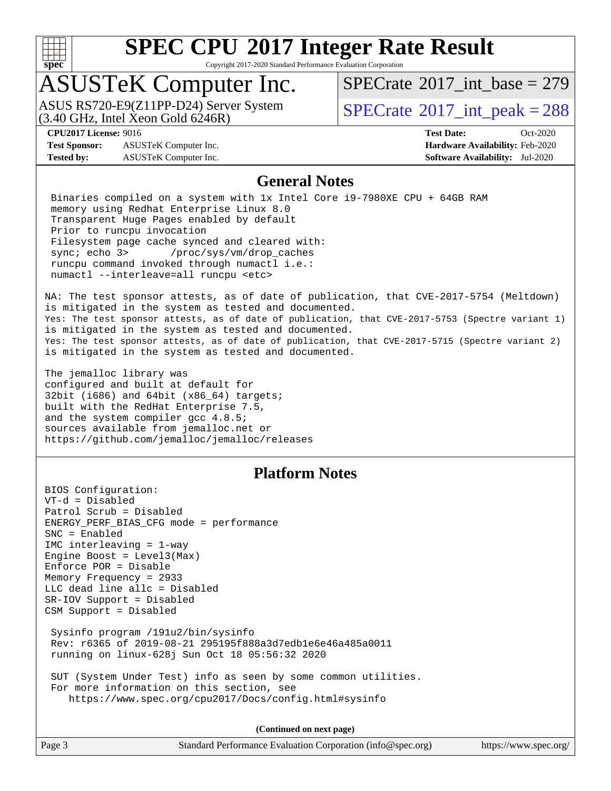

Copyright 2017-2020 Standard Performance Evaluation Corporation

# ASUSTeK Computer Inc.

 $(3.40$  GHz, Intel Xeon Gold  $6246R$ ) ASUS RS720-E9(Z11PP-D24) Server System  $SBECrate^{\circ}2017$  int peak = 288

 $SPECTate$ <sup>®</sup>[2017\\_int\\_base =](http://www.spec.org/auto/cpu2017/Docs/result-fields.html#SPECrate2017intbase) 279

**[Test Sponsor:](http://www.spec.org/auto/cpu2017/Docs/result-fields.html#TestSponsor)** ASUSTeK Computer Inc. **[Hardware Availability:](http://www.spec.org/auto/cpu2017/Docs/result-fields.html#HardwareAvailability)** Feb-2020 **[Tested by:](http://www.spec.org/auto/cpu2017/Docs/result-fields.html#Testedby)** ASUSTeK Computer Inc. **[Software Availability:](http://www.spec.org/auto/cpu2017/Docs/result-fields.html#SoftwareAvailability)** Jul-2020

**[CPU2017 License:](http://www.spec.org/auto/cpu2017/Docs/result-fields.html#CPU2017License)** 9016 **[Test Date:](http://www.spec.org/auto/cpu2017/Docs/result-fields.html#TestDate)** Oct-2020

#### **[General Notes](http://www.spec.org/auto/cpu2017/Docs/result-fields.html#GeneralNotes)**

 Binaries compiled on a system with 1x Intel Core i9-7980XE CPU + 64GB RAM memory using Redhat Enterprise Linux 8.0 Transparent Huge Pages enabled by default Prior to runcpu invocation Filesystem page cache synced and cleared with: sync; echo 3> /proc/sys/vm/drop\_caches runcpu command invoked through numactl i.e.: numactl --interleave=all runcpu <etc>

NA: The test sponsor attests, as of date of publication, that CVE-2017-5754 (Meltdown) is mitigated in the system as tested and documented. Yes: The test sponsor attests, as of date of publication, that CVE-2017-5753 (Spectre variant 1) is mitigated in the system as tested and documented. Yes: The test sponsor attests, as of date of publication, that CVE-2017-5715 (Spectre variant 2) is mitigated in the system as tested and documented.

The jemalloc library was configured and built at default for 32bit (i686) and 64bit (x86\_64) targets; built with the RedHat Enterprise 7.5, and the system compiler gcc 4.8.5; sources available from jemalloc.net or <https://github.com/jemalloc/jemalloc/releases>

### **[Platform Notes](http://www.spec.org/auto/cpu2017/Docs/result-fields.html#PlatformNotes)**

BIOS Configuration: VT-d = Disabled Patrol Scrub = Disabled ENERGY\_PERF\_BIAS\_CFG mode = performance SNC = Enabled IMC interleaving = 1-way Engine Boost = Level3(Max) Enforce POR = Disable Memory Frequency = 2933 LLC dead line allc = Disabled SR-IOV Support = Disabled CSM Support = Disabled Sysinfo program /191u2/bin/sysinfo Rev: r6365 of 2019-08-21 295195f888a3d7edb1e6e46a485a0011 running on linux-628j Sun Oct 18 05:56:32 2020 SUT (System Under Test) info as seen by some common utilities.

 For more information on this section, see <https://www.spec.org/cpu2017/Docs/config.html#sysinfo>

**(Continued on next page)**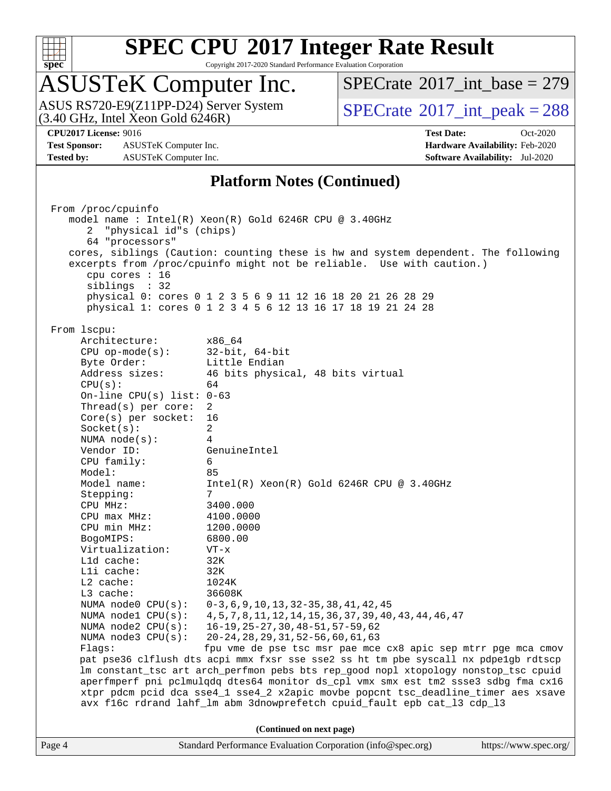

Copyright 2017-2020 Standard Performance Evaluation Corporation

# ASUSTeK Computer Inc.

ASUS RS720-E9(Z11PP-D24) Server System<br>(3.40 GHz, Intel Xeon Gold 6246R)

 $SPECTate$ <sup>®</sup>[2017\\_int\\_base =](http://www.spec.org/auto/cpu2017/Docs/result-fields.html#SPECrate2017intbase) 279

 $SPECTate@2017\_int\_peak = 288$ 

**[Test Sponsor:](http://www.spec.org/auto/cpu2017/Docs/result-fields.html#TestSponsor)** ASUSTeK Computer Inc. **[Hardware Availability:](http://www.spec.org/auto/cpu2017/Docs/result-fields.html#HardwareAvailability)** Feb-2020 **[Tested by:](http://www.spec.org/auto/cpu2017/Docs/result-fields.html#Testedby)** ASUSTeK Computer Inc. **[Software Availability:](http://www.spec.org/auto/cpu2017/Docs/result-fields.html#SoftwareAvailability)** Jul-2020

**[CPU2017 License:](http://www.spec.org/auto/cpu2017/Docs/result-fields.html#CPU2017License)** 9016 **[Test Date:](http://www.spec.org/auto/cpu2017/Docs/result-fields.html#TestDate)** Oct-2020

#### **[Platform Notes \(Continued\)](http://www.spec.org/auto/cpu2017/Docs/result-fields.html#PlatformNotes)**

Page 4 Standard Performance Evaluation Corporation [\(info@spec.org\)](mailto:info@spec.org) <https://www.spec.org/> From /proc/cpuinfo model name : Intel(R) Xeon(R) Gold 6246R CPU @ 3.40GHz 2 "physical id"s (chips) 64 "processors" cores, siblings (Caution: counting these is hw and system dependent. The following excerpts from /proc/cpuinfo might not be reliable. Use with caution.) cpu cores : 16 siblings : 32 physical 0: cores 0 1 2 3 5 6 9 11 12 16 18 20 21 26 28 29 physical 1: cores 0 1 2 3 4 5 6 12 13 16 17 18 19 21 24 28 From lscpu: Architecture: x86\_64 CPU op-mode(s): 32-bit, 64-bit Byte Order: Little Endian Address sizes: 46 bits physical, 48 bits virtual  $CPU(s):$  64 On-line CPU(s) list: 0-63 Thread(s) per core: 2 Core(s) per socket: 16 Socket(s): 2 NUMA node(s): 4 Vendor ID: GenuineIntel CPU family: 6 Model: 85 Model name: Intel(R) Xeon(R) Gold 6246R CPU @ 3.40GHz Stepping: CPU MHz: 3400.000 CPU max MHz: 4100.0000 CPU min MHz: 1200.0000 BogoMIPS: 6800.00 Virtualization: VT-x L1d cache: 32K L1i cache: 32K L2 cache: 1024K L3 cache: 36608K NUMA node0 CPU(s): 0-3,6,9,10,13,32-35,38,41,42,45 NUMA node1 CPU(s): 4,5,7,8,11,12,14,15,36,37,39,40,43,44,46,47 NUMA node2 CPU(s): 16-19,25-27,30,48-51,57-59,62 NUMA node3 CPU(s): 20-24,28,29,31,52-56,60,61,63 Flags: fpu vme de pse tsc msr pae mce cx8 apic sep mtrr pge mca cmov pat pse36 clflush dts acpi mmx fxsr sse sse2 ss ht tm pbe syscall nx pdpe1gb rdtscp lm constant\_tsc art arch\_perfmon pebs bts rep\_good nopl xtopology nonstop\_tsc cpuid aperfmperf pni pclmulqdq dtes64 monitor ds\_cpl vmx smx est tm2 ssse3 sdbg fma cx16 xtpr pdcm pcid dca sse4\_1 sse4\_2 x2apic movbe popcnt tsc\_deadline\_timer aes xsave avx f16c rdrand lahf\_lm abm 3dnowprefetch cpuid\_fault epb cat\_l3 cdp\_l3 **(Continued on next page)**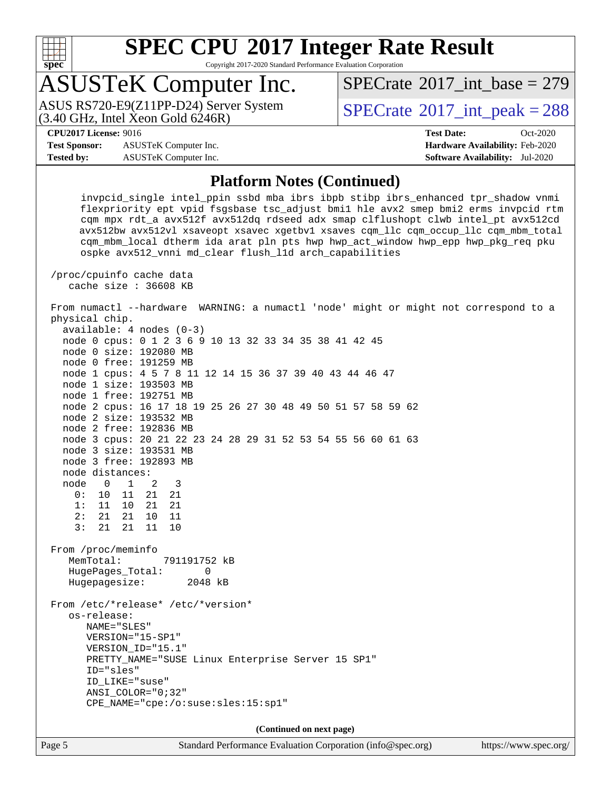

Copyright 2017-2020 Standard Performance Evaluation Corporation

# ASUSTeK Computer Inc.

ASUS RS720-E9(Z11PP-D24) Server System<br>(3.40 GHz, Intel Xeon Gold 6246R)

 $SPECTate$ <sup>®</sup>[2017\\_int\\_base =](http://www.spec.org/auto/cpu2017/Docs/result-fields.html#SPECrate2017intbase) 279

 $SPECTate@2017\_int\_peak = 288$ 

**[Test Sponsor:](http://www.spec.org/auto/cpu2017/Docs/result-fields.html#TestSponsor)** ASUSTeK Computer Inc. **[Hardware Availability:](http://www.spec.org/auto/cpu2017/Docs/result-fields.html#HardwareAvailability)** Feb-2020 **[Tested by:](http://www.spec.org/auto/cpu2017/Docs/result-fields.html#Testedby)** ASUSTeK Computer Inc. **[Software Availability:](http://www.spec.org/auto/cpu2017/Docs/result-fields.html#SoftwareAvailability)** Jul-2020

**[CPU2017 License:](http://www.spec.org/auto/cpu2017/Docs/result-fields.html#CPU2017License)** 9016 **[Test Date:](http://www.spec.org/auto/cpu2017/Docs/result-fields.html#TestDate)** Oct-2020

#### **[Platform Notes \(Continued\)](http://www.spec.org/auto/cpu2017/Docs/result-fields.html#PlatformNotes)**

 invpcid\_single intel\_ppin ssbd mba ibrs ibpb stibp ibrs\_enhanced tpr\_shadow vnmi flexpriority ept vpid fsgsbase tsc\_adjust bmi1 hle avx2 smep bmi2 erms invpcid rtm cqm mpx rdt\_a avx512f avx512dq rdseed adx smap clflushopt clwb intel\_pt avx512cd avx512bw avx512vl xsaveopt xsavec xgetbv1 xsaves cqm\_llc cqm\_occup\_llc cqm\_mbm\_total cqm\_mbm\_local dtherm ida arat pln pts hwp hwp\_act\_window hwp\_epp hwp\_pkg\_req pku ospke avx512\_vnni md\_clear flush\_l1d arch\_capabilities

 /proc/cpuinfo cache data cache size : 36608 KB

 From numactl --hardware WARNING: a numactl 'node' might or might not correspond to a physical chip.

 available: 4 nodes (0-3) node 0 cpus: 0 1 2 3 6 9 10 13 32 33 34 35 38 41 42 45 node 0 size: 192080 MB node 0 free: 191259 MB node 1 cpus: 4 5 7 8 11 12 14 15 36 37 39 40 43 44 46 47 node 1 size: 193503 MB node 1 free: 192751 MB node 2 cpus: 16 17 18 19 25 26 27 30 48 49 50 51 57 58 59 62 node 2 size: 193532 MB node 2 free: 192836 MB node 3 cpus: 20 21 22 23 24 28 29 31 52 53 54 55 56 60 61 63 node 3 size: 193531 MB node 3 free: 192893 MB node distances: node 0 1 2 3 0: 10 11 21 21 1: 11 10 21 21 2: 21 21 10 11 3: 21 21 11 10 From /proc/meminfo MemTotal: 791191752 kB HugePages\_Total: 0 Hugepagesize: 2048 kB From /etc/\*release\* /etc/\*version\* os-release: NAME="SLES" VERSION="15-SP1" VERSION\_ID="15.1" PRETTY\_NAME="SUSE Linux Enterprise Server 15 SP1" ID="sles" ID\_LIKE="suse" ANSI\_COLOR="0;32" CPE\_NAME="cpe:/o:suse:sles:15:sp1" **(Continued on next page)**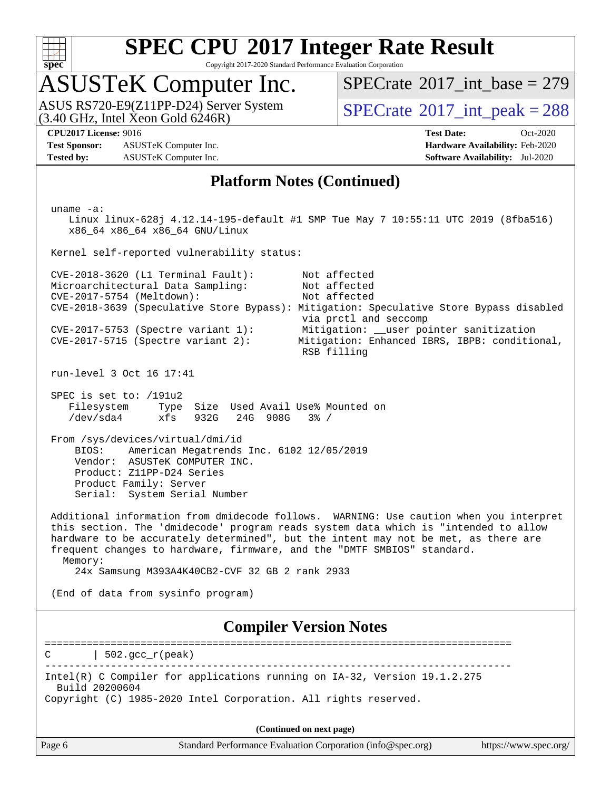

Copyright 2017-2020 Standard Performance Evaluation Corporation

# ASUSTeK Computer Inc.

ASUS RS720-E9(Z11PP-D24) Server System  $(3.40 \text{ GHz}, \text{ Intel Xeon Gold } 6246\text{R})$   $\big| \text{ SPECrate}^{\circledR} 2017 \text{ int\_peak} = 288$  $\big| \text{ SPECrate}^{\circledR} 2017 \text{ int\_peak} = 288$  $\big| \text{ SPECrate}^{\circledR} 2017 \text{ int\_peak} = 288$ 

 $SPECTate@2017_int\_base = 279$ 

**[Test Sponsor:](http://www.spec.org/auto/cpu2017/Docs/result-fields.html#TestSponsor)** ASUSTeK Computer Inc. **[Hardware Availability:](http://www.spec.org/auto/cpu2017/Docs/result-fields.html#HardwareAvailability)** Feb-2020 **[Tested by:](http://www.spec.org/auto/cpu2017/Docs/result-fields.html#Testedby)** ASUSTeK Computer Inc. **[Software Availability:](http://www.spec.org/auto/cpu2017/Docs/result-fields.html#SoftwareAvailability)** Jul-2020

**[CPU2017 License:](http://www.spec.org/auto/cpu2017/Docs/result-fields.html#CPU2017License)** 9016 **[Test Date:](http://www.spec.org/auto/cpu2017/Docs/result-fields.html#TestDate)** Oct-2020

#### **[Platform Notes \(Continued\)](http://www.spec.org/auto/cpu2017/Docs/result-fields.html#PlatformNotes)**

Page 6 Standard Performance Evaluation Corporation [\(info@spec.org\)](mailto:info@spec.org) <https://www.spec.org/> uname -a: Linux linux-628j 4.12.14-195-default #1 SMP Tue May 7 10:55:11 UTC 2019 (8fba516) x86\_64 x86\_64 x86\_64 GNU/Linux Kernel self-reported vulnerability status: CVE-2018-3620 (L1 Terminal Fault): Not affected Microarchitectural Data Sampling: Not affected<br>CVE-2017-5754 (Meltdown): Not affected  $CVE-2017-5754$  (Meltdown): CVE-2018-3639 (Speculative Store Bypass): Mitigation: Speculative Store Bypass disabled via prctl and seccomp CVE-2017-5753 (Spectre variant 1): Mitigation: \_\_user pointer sanitization CVE-2017-5715 (Spectre variant 2): Mitigation: Enhanced IBRS, IBPB: conditional, RSB filling run-level 3 Oct 16 17:41 SPEC is set to: /191u2 Filesystem Type Size Used Avail Use% Mounted on /dev/sda4 xfs 932G 24G 908G 3% / From /sys/devices/virtual/dmi/id BIOS: American Megatrends Inc. 6102 12/05/2019 Vendor: ASUSTeK COMPUTER INC. Product: Z11PP-D24 Series Product Family: Server Serial: System Serial Number Additional information from dmidecode follows. WARNING: Use caution when you interpret this section. The 'dmidecode' program reads system data which is "intended to allow hardware to be accurately determined", but the intent may not be met, as there are frequent changes to hardware, firmware, and the "DMTF SMBIOS" standard. Memory: 24x Samsung M393A4K40CB2-CVF 32 GB 2 rank 2933 (End of data from sysinfo program) **[Compiler Version Notes](http://www.spec.org/auto/cpu2017/Docs/result-fields.html#CompilerVersionNotes)** ==============================================================================  $C \qquad | \quad 502.\text{gcc\_r}(\text{peak})$ ------------------------------------------------------------------------------ Intel(R) C Compiler for applications running on IA-32, Version 19.1.2.275 Build 20200604 Copyright (C) 1985-2020 Intel Corporation. All rights reserved. **(Continued on next page)**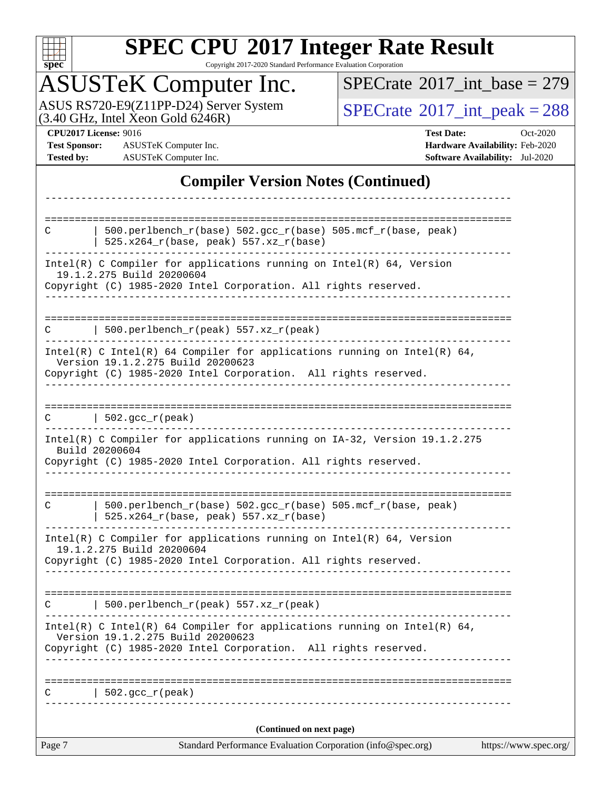

Copyright 2017-2020 Standard Performance Evaluation Corporation

# ASUSTeK Computer Inc.

ASUS RS720-E9(Z11PP-D24) Server System  $(3.40 \text{ GHz}, \text{ Intel Xeon Gold } 6246\text{R})$   $\big| \text{ SPECrate}^{\circledR} 2017 \text{ int\_peak} = 288$  $\big| \text{ SPECrate}^{\circledR} 2017 \text{ int\_peak} = 288$  $\big| \text{ SPECrate}^{\circledR} 2017 \text{ int\_peak} = 288$ 

 $SPECrate$ <sup>®</sup>[2017\\_int\\_base =](http://www.spec.org/auto/cpu2017/Docs/result-fields.html#SPECrate2017intbase) 279

**[Test Sponsor:](http://www.spec.org/auto/cpu2017/Docs/result-fields.html#TestSponsor)** ASUSTeK Computer Inc. **[Hardware Availability:](http://www.spec.org/auto/cpu2017/Docs/result-fields.html#HardwareAvailability)** Feb-2020 **[Tested by:](http://www.spec.org/auto/cpu2017/Docs/result-fields.html#Testedby)** ASUSTeK Computer Inc. **[Software Availability:](http://www.spec.org/auto/cpu2017/Docs/result-fields.html#SoftwareAvailability)** Jul-2020

**[CPU2017 License:](http://www.spec.org/auto/cpu2017/Docs/result-fields.html#CPU2017License)** 9016 **[Test Date:](http://www.spec.org/auto/cpu2017/Docs/result-fields.html#TestDate)** Oct-2020

### **[Compiler Version Notes \(Continued\)](http://www.spec.org/auto/cpu2017/Docs/result-fields.html#CompilerVersionNotes)**

| Standard Performance Evaluation Corporation (info@spec.org)<br>Page 7                                                 | https://www.spec.org/ |
|-----------------------------------------------------------------------------------------------------------------------|-----------------------|
| (Continued on next page)                                                                                              |                       |
| $502.$ gcc_r(peak)                                                                                                    |                       |
|                                                                                                                       |                       |
| Version 19.1.2.275 Build 20200623<br>Copyright (C) 1985-2020 Intel Corporation. All rights reserved.                  |                       |
| Intel(R) C Intel(R) 64 Compiler for applications running on Intel(R) 64,                                              |                       |
| 500.perlbench_r(peak) 557.xz_r(peak)<br>C                                                                             |                       |
| Copyright (C) 1985-2020 Intel Corporation. All rights reserved.                                                       |                       |
| $Intel(R)$ C Compiler for applications running on $Intel(R)$ 64, Version<br>19.1.2.275 Build 20200604                 |                       |
| 500.perlbench_r(base) 502.gcc_r(base) 505.mcf_r(base, peak)<br>$\mathbf C$<br>$525.x264_r(base, peak) 557.xz_r(base)$ |                       |
|                                                                                                                       |                       |
| Build 20200604<br>Copyright (C) 1985-2020 Intel Corporation. All rights reserved.<br>---------------                  |                       |
| Intel(R) C Compiler for applications running on IA-32, Version 19.1.2.275                                             |                       |
| $C$   502.gcc_r(peak)                                                                                                 |                       |
|                                                                                                                       |                       |
| Version 19.1.2.275 Build 20200623<br>Copyright (C) 1985-2020 Intel Corporation. All rights reserved.                  |                       |
| Intel(R) C Intel(R) 64 Compiler for applications running on Intel(R) 64,                                              |                       |
| 500.perlbench_r(peak) 557.xz_r(peak)<br>C                                                                             |                       |
| 19.1.2.275 Build 20200604<br>Copyright (C) 1985-2020 Intel Corporation. All rights reserved.                          |                       |
| $Intel(R)$ C Compiler for applications running on $Intel(R)$ 64, Version                                              |                       |
| 500.perlbench_r(base) 502.gcc_r(base) 505.mcf_r(base, peak)<br>C<br>$525.x264_r(base, peak) 557.xz_r(base)$           |                       |
|                                                                                                                       |                       |
|                                                                                                                       |                       |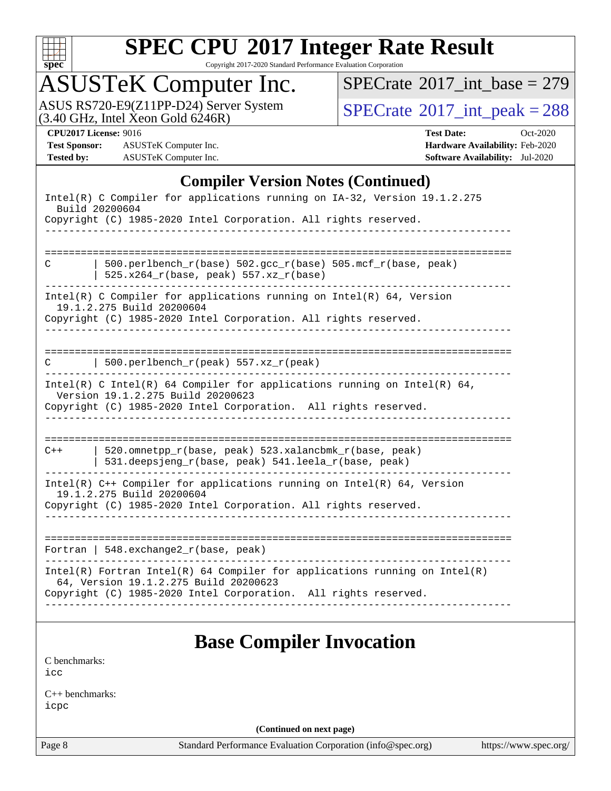

Copyright 2017-2020 Standard Performance Evaluation Corporation

# ASUSTeK Computer Inc.

ASUS RS720-E9(Z11PP-D24) Server System  $(3.40 \text{ GHz}, \text{ Intel Xeon Gold } 6246\text{R})$   $\big| \text{ SPECrate}^{\circledR} 2017 \text{ int\_peak} = 288$  $\big| \text{ SPECrate}^{\circledR} 2017 \text{ int\_peak} = 288$  $\big| \text{ SPECrate}^{\circledR} 2017 \text{ int\_peak} = 288$ 

 $SPECrate$ <sup>®</sup>[2017\\_int\\_base =](http://www.spec.org/auto/cpu2017/Docs/result-fields.html#SPECrate2017intbase) 279

**[Test Sponsor:](http://www.spec.org/auto/cpu2017/Docs/result-fields.html#TestSponsor)** ASUSTeK Computer Inc. **[Hardware Availability:](http://www.spec.org/auto/cpu2017/Docs/result-fields.html#HardwareAvailability)** Feb-2020 **[Tested by:](http://www.spec.org/auto/cpu2017/Docs/result-fields.html#Testedby)** ASUSTeK Computer Inc. **[Software Availability:](http://www.spec.org/auto/cpu2017/Docs/result-fields.html#SoftwareAvailability)** Jul-2020

**[CPU2017 License:](http://www.spec.org/auto/cpu2017/Docs/result-fields.html#CPU2017License)** 9016 **[Test Date:](http://www.spec.org/auto/cpu2017/Docs/result-fields.html#TestDate)** Oct-2020

#### **[Compiler Version Notes \(Continued\)](http://www.spec.org/auto/cpu2017/Docs/result-fields.html#CompilerVersionNotes)**

|       | Intel(R) C Compiler for applications running on IA-32, Version 19.1.2.275<br>Build 20200604                                                                                      |
|-------|----------------------------------------------------------------------------------------------------------------------------------------------------------------------------------|
|       | Copyright (C) 1985-2020 Intel Corporation. All rights reserved.                                                                                                                  |
|       |                                                                                                                                                                                  |
| C     | 500.perlbench_r(base) 502.gcc_r(base) 505.mcf_r(base, peak)<br>$525.x264_r(base, peak) 557.xz_r(base)$                                                                           |
|       | $Intel(R)$ C Compiler for applications running on $Intel(R)$ 64, Version<br>19.1.2.275 Build 20200604<br>Copyright (C) 1985-2020 Intel Corporation. All rights reserved.         |
| C     | 500.perlbench_r(peak) 557.xz_r(peak)                                                                                                                                             |
|       | Intel(R) C Intel(R) 64 Compiler for applications running on Intel(R) 64,<br>Version 19.1.2.275 Build 20200623<br>Copyright (C) 1985-2020 Intel Corporation. All rights reserved. |
|       |                                                                                                                                                                                  |
| $C++$ | $520.$ omnetpp_r(base, peak) $523.$ xalancbmk_r(base, peak)<br>531.deepsjeng_r(base, peak) 541.leela_r(base, peak)                                                               |
|       | Intel(R) $C++$ Compiler for applications running on Intel(R) 64, Version<br>19.1.2.275 Build 20200604                                                                            |
|       | Copyright (C) 1985-2020 Intel Corporation. All rights reserved.                                                                                                                  |
|       | Fortran   $548$ . exchange $2\lfloor r(\text{base}, \text{peak}) \rfloor$                                                                                                        |
|       | $Intel(R)$ Fortran Intel(R) 64 Compiler for applications running on Intel(R)<br>64, Version 19.1.2.275 Build 20200623                                                            |
|       | Copyright (C) 1985-2020 Intel Corporation. All rights reserved.                                                                                                                  |
|       |                                                                                                                                                                                  |
|       | $\mathbf{D}_{\text{max}}$ $\mathbf{C}_{\text{max}}$ $\mathbf{I}_{\text{max}}$ $\mathbf{L}_{\text{max}}$                                                                          |

## **[Base Compiler Invocation](http://www.spec.org/auto/cpu2017/Docs/result-fields.html#BaseCompilerInvocation)**

[C benchmarks](http://www.spec.org/auto/cpu2017/Docs/result-fields.html#Cbenchmarks): [icc](http://www.spec.org/cpu2017/results/res2020q4/cpu2017-20201023-24244.flags.html#user_CCbase_intel_icc_66fc1ee009f7361af1fbd72ca7dcefbb700085f36577c54f309893dd4ec40d12360134090235512931783d35fd58c0460139e722d5067c5574d8eaf2b3e37e92)

[C++ benchmarks:](http://www.spec.org/auto/cpu2017/Docs/result-fields.html#CXXbenchmarks) [icpc](http://www.spec.org/cpu2017/results/res2020q4/cpu2017-20201023-24244.flags.html#user_CXXbase_intel_icpc_c510b6838c7f56d33e37e94d029a35b4a7bccf4766a728ee175e80a419847e808290a9b78be685c44ab727ea267ec2f070ec5dc83b407c0218cded6866a35d07)

**(Continued on next page)**

Page 8 Standard Performance Evaluation Corporation [\(info@spec.org\)](mailto:info@spec.org) <https://www.spec.org/>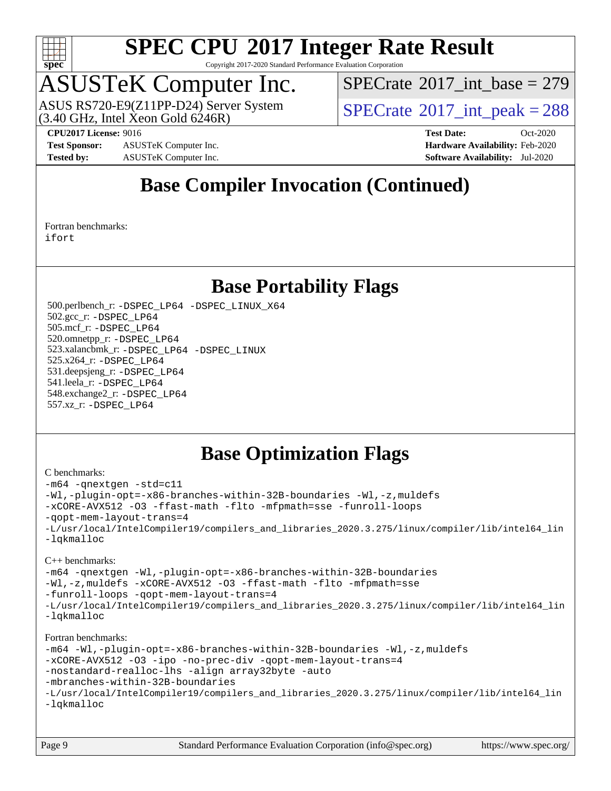

Copyright 2017-2020 Standard Performance Evaluation Corporation

# ASUSTeK Computer Inc.

 $(3.40 \text{ GHz}, \text{Intel } \hat{\text{X}}$ con Gold 6246R) ASUS RS720-E9(Z11PP-D24) Server System  $SBECrate^{\circ}2017$ \_int\_peak = 288

 $SPECTate$ <sup>®</sup>[2017\\_int\\_base =](http://www.spec.org/auto/cpu2017/Docs/result-fields.html#SPECrate2017intbase) 279

**[Test Sponsor:](http://www.spec.org/auto/cpu2017/Docs/result-fields.html#TestSponsor)** ASUSTeK Computer Inc. **[Hardware Availability:](http://www.spec.org/auto/cpu2017/Docs/result-fields.html#HardwareAvailability)** Feb-2020 **[Tested by:](http://www.spec.org/auto/cpu2017/Docs/result-fields.html#Testedby)** ASUSTeK Computer Inc. **[Software Availability:](http://www.spec.org/auto/cpu2017/Docs/result-fields.html#SoftwareAvailability)** Jul-2020

**[CPU2017 License:](http://www.spec.org/auto/cpu2017/Docs/result-fields.html#CPU2017License)** 9016 **[Test Date:](http://www.spec.org/auto/cpu2017/Docs/result-fields.html#TestDate)** Oct-2020

## **[Base Compiler Invocation \(Continued\)](http://www.spec.org/auto/cpu2017/Docs/result-fields.html#BaseCompilerInvocation)**

[Fortran benchmarks](http://www.spec.org/auto/cpu2017/Docs/result-fields.html#Fortranbenchmarks): [ifort](http://www.spec.org/cpu2017/results/res2020q4/cpu2017-20201023-24244.flags.html#user_FCbase_intel_ifort_8111460550e3ca792625aed983ce982f94888b8b503583aa7ba2b8303487b4d8a21a13e7191a45c5fd58ff318f48f9492884d4413fa793fd88dd292cad7027ca)

## **[Base Portability Flags](http://www.spec.org/auto/cpu2017/Docs/result-fields.html#BasePortabilityFlags)**

 500.perlbench\_r: [-DSPEC\\_LP64](http://www.spec.org/cpu2017/results/res2020q4/cpu2017-20201023-24244.flags.html#b500.perlbench_r_basePORTABILITY_DSPEC_LP64) [-DSPEC\\_LINUX\\_X64](http://www.spec.org/cpu2017/results/res2020q4/cpu2017-20201023-24244.flags.html#b500.perlbench_r_baseCPORTABILITY_DSPEC_LINUX_X64) 502.gcc\_r: [-DSPEC\\_LP64](http://www.spec.org/cpu2017/results/res2020q4/cpu2017-20201023-24244.flags.html#suite_basePORTABILITY502_gcc_r_DSPEC_LP64) 505.mcf\_r: [-DSPEC\\_LP64](http://www.spec.org/cpu2017/results/res2020q4/cpu2017-20201023-24244.flags.html#suite_basePORTABILITY505_mcf_r_DSPEC_LP64) 520.omnetpp\_r: [-DSPEC\\_LP64](http://www.spec.org/cpu2017/results/res2020q4/cpu2017-20201023-24244.flags.html#suite_basePORTABILITY520_omnetpp_r_DSPEC_LP64) 523.xalancbmk\_r: [-DSPEC\\_LP64](http://www.spec.org/cpu2017/results/res2020q4/cpu2017-20201023-24244.flags.html#suite_basePORTABILITY523_xalancbmk_r_DSPEC_LP64) [-DSPEC\\_LINUX](http://www.spec.org/cpu2017/results/res2020q4/cpu2017-20201023-24244.flags.html#b523.xalancbmk_r_baseCXXPORTABILITY_DSPEC_LINUX) 525.x264\_r: [-DSPEC\\_LP64](http://www.spec.org/cpu2017/results/res2020q4/cpu2017-20201023-24244.flags.html#suite_basePORTABILITY525_x264_r_DSPEC_LP64) 531.deepsjeng\_r: [-DSPEC\\_LP64](http://www.spec.org/cpu2017/results/res2020q4/cpu2017-20201023-24244.flags.html#suite_basePORTABILITY531_deepsjeng_r_DSPEC_LP64) 541.leela\_r: [-DSPEC\\_LP64](http://www.spec.org/cpu2017/results/res2020q4/cpu2017-20201023-24244.flags.html#suite_basePORTABILITY541_leela_r_DSPEC_LP64) 548.exchange2\_r: [-DSPEC\\_LP64](http://www.spec.org/cpu2017/results/res2020q4/cpu2017-20201023-24244.flags.html#suite_basePORTABILITY548_exchange2_r_DSPEC_LP64) 557.xz\_r: [-DSPEC\\_LP64](http://www.spec.org/cpu2017/results/res2020q4/cpu2017-20201023-24244.flags.html#suite_basePORTABILITY557_xz_r_DSPEC_LP64)

## **[Base Optimization Flags](http://www.spec.org/auto/cpu2017/Docs/result-fields.html#BaseOptimizationFlags)**

#### [C benchmarks](http://www.spec.org/auto/cpu2017/Docs/result-fields.html#Cbenchmarks):

```
-m64 -qnextgen -std=c11
-Wl,-plugin-opt=-x86-branches-within-32B-boundaries -Wl,-z,muldefs
-xCORE-AVX512 -O3 -ffast-math -flto -mfpmath=sse -funroll-loops
-qopt-mem-layout-trans=4
-L/usr/local/IntelCompiler19/compilers_and_libraries_2020.3.275/linux/compiler/lib/intel64_lin
-lqkmalloc
C++ benchmarks: 
-m64 -qnextgen -Wl,-plugin-opt=-x86-branches-within-32B-boundaries
-Wl,-z,muldefs -xCORE-AVX512 -O3 -ffast-math -flto -mfpmath=sse
-funroll-loops -qopt-mem-layout-trans=4
-L/usr/local/IntelCompiler19/compilers_and_libraries_2020.3.275/linux/compiler/lib/intel64_lin
-lqkmalloc
Fortran benchmarks: 
-m64 -Wl,-plugin-opt=-x86-branches-within-32B-boundaries -Wl,-z,muldefs
-xCORE-AVX512 -O3 -ipo -no-prec-div -qopt-mem-layout-trans=4
-nostandard-realloc-lhs -align array32byte -auto
-mbranches-within-32B-boundaries
-L/usr/local/IntelCompiler19/compilers_and_libraries_2020.3.275/linux/compiler/lib/intel64_lin
-lqkmalloc
```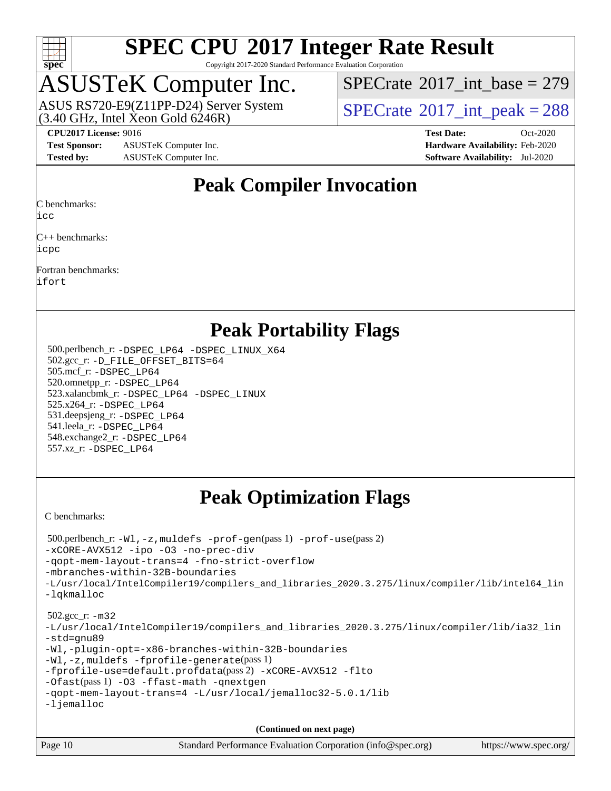

Copyright 2017-2020 Standard Performance Evaluation Corporation

# ASUSTeK Computer Inc.

 $(3.40$  GHz, Intel Xeon Gold  $6246R$ ) ASUS RS720-E9(Z11PP-D24) Server System  $SBECrate^{\circ}2017$  int peak = 288

 $SPECTate$ <sup>®</sup>[2017\\_int\\_base =](http://www.spec.org/auto/cpu2017/Docs/result-fields.html#SPECrate2017intbase) 279

**[Test Sponsor:](http://www.spec.org/auto/cpu2017/Docs/result-fields.html#TestSponsor)** ASUSTeK Computer Inc. **[Hardware Availability:](http://www.spec.org/auto/cpu2017/Docs/result-fields.html#HardwareAvailability)** Feb-2020 **[Tested by:](http://www.spec.org/auto/cpu2017/Docs/result-fields.html#Testedby)** ASUSTeK Computer Inc. **[Software Availability:](http://www.spec.org/auto/cpu2017/Docs/result-fields.html#SoftwareAvailability)** Jul-2020

**[CPU2017 License:](http://www.spec.org/auto/cpu2017/Docs/result-fields.html#CPU2017License)** 9016 **[Test Date:](http://www.spec.org/auto/cpu2017/Docs/result-fields.html#TestDate)** Oct-2020

## **[Peak Compiler Invocation](http://www.spec.org/auto/cpu2017/Docs/result-fields.html#PeakCompilerInvocation)**

[C benchmarks:](http://www.spec.org/auto/cpu2017/Docs/result-fields.html#Cbenchmarks)

[icc](http://www.spec.org/cpu2017/results/res2020q4/cpu2017-20201023-24244.flags.html#user_CCpeak_intel_icc_66fc1ee009f7361af1fbd72ca7dcefbb700085f36577c54f309893dd4ec40d12360134090235512931783d35fd58c0460139e722d5067c5574d8eaf2b3e37e92)

[C++ benchmarks](http://www.spec.org/auto/cpu2017/Docs/result-fields.html#CXXbenchmarks): [icpc](http://www.spec.org/cpu2017/results/res2020q4/cpu2017-20201023-24244.flags.html#user_CXXpeak_intel_icpc_c510b6838c7f56d33e37e94d029a35b4a7bccf4766a728ee175e80a419847e808290a9b78be685c44ab727ea267ec2f070ec5dc83b407c0218cded6866a35d07)

[Fortran benchmarks:](http://www.spec.org/auto/cpu2017/Docs/result-fields.html#Fortranbenchmarks) [ifort](http://www.spec.org/cpu2017/results/res2020q4/cpu2017-20201023-24244.flags.html#user_FCpeak_intel_ifort_8111460550e3ca792625aed983ce982f94888b8b503583aa7ba2b8303487b4d8a21a13e7191a45c5fd58ff318f48f9492884d4413fa793fd88dd292cad7027ca)

**[Peak Portability Flags](http://www.spec.org/auto/cpu2017/Docs/result-fields.html#PeakPortabilityFlags)**

 500.perlbench\_r: [-DSPEC\\_LP64](http://www.spec.org/cpu2017/results/res2020q4/cpu2017-20201023-24244.flags.html#b500.perlbench_r_peakPORTABILITY_DSPEC_LP64) [-DSPEC\\_LINUX\\_X64](http://www.spec.org/cpu2017/results/res2020q4/cpu2017-20201023-24244.flags.html#b500.perlbench_r_peakCPORTABILITY_DSPEC_LINUX_X64) 502.gcc\_r: [-D\\_FILE\\_OFFSET\\_BITS=64](http://www.spec.org/cpu2017/results/res2020q4/cpu2017-20201023-24244.flags.html#user_peakPORTABILITY502_gcc_r_file_offset_bits_64_5ae949a99b284ddf4e95728d47cb0843d81b2eb0e18bdfe74bbf0f61d0b064f4bda2f10ea5eb90e1dcab0e84dbc592acfc5018bc955c18609f94ddb8d550002c) 505.mcf\_r: [-DSPEC\\_LP64](http://www.spec.org/cpu2017/results/res2020q4/cpu2017-20201023-24244.flags.html#suite_peakPORTABILITY505_mcf_r_DSPEC_LP64) 520.omnetpp\_r: [-DSPEC\\_LP64](http://www.spec.org/cpu2017/results/res2020q4/cpu2017-20201023-24244.flags.html#suite_peakPORTABILITY520_omnetpp_r_DSPEC_LP64) 523.xalancbmk\_r: [-DSPEC\\_LP64](http://www.spec.org/cpu2017/results/res2020q4/cpu2017-20201023-24244.flags.html#suite_peakPORTABILITY523_xalancbmk_r_DSPEC_LP64) [-DSPEC\\_LINUX](http://www.spec.org/cpu2017/results/res2020q4/cpu2017-20201023-24244.flags.html#b523.xalancbmk_r_peakCXXPORTABILITY_DSPEC_LINUX) 525.x264\_r: [-DSPEC\\_LP64](http://www.spec.org/cpu2017/results/res2020q4/cpu2017-20201023-24244.flags.html#suite_peakPORTABILITY525_x264_r_DSPEC_LP64) 531.deepsjeng\_r: [-DSPEC\\_LP64](http://www.spec.org/cpu2017/results/res2020q4/cpu2017-20201023-24244.flags.html#suite_peakPORTABILITY531_deepsjeng_r_DSPEC_LP64) 541.leela\_r: [-DSPEC\\_LP64](http://www.spec.org/cpu2017/results/res2020q4/cpu2017-20201023-24244.flags.html#suite_peakPORTABILITY541_leela_r_DSPEC_LP64) 548.exchange2\_r: [-DSPEC\\_LP64](http://www.spec.org/cpu2017/results/res2020q4/cpu2017-20201023-24244.flags.html#suite_peakPORTABILITY548_exchange2_r_DSPEC_LP64) 557.xz\_r: [-DSPEC\\_LP64](http://www.spec.org/cpu2017/results/res2020q4/cpu2017-20201023-24244.flags.html#suite_peakPORTABILITY557_xz_r_DSPEC_LP64)

## **[Peak Optimization Flags](http://www.spec.org/auto/cpu2017/Docs/result-fields.html#PeakOptimizationFlags)**

[C benchmarks](http://www.spec.org/auto/cpu2017/Docs/result-fields.html#Cbenchmarks):

```
Page 10 Standard Performance Evaluation Corporation (info@spec.org) https://www.spec.org/
  500.perlbench_r: -Wl,-z,muldefs -prof-gen(pass 1) -prof-use(pass 2)
-xCORE-AVX512 -ipo -O3 -no-prec-div
-qopt-mem-layout-trans=4 -fno-strict-overflow
-mbranches-within-32B-boundaries
-L/usr/local/IntelCompiler19/compilers_and_libraries_2020.3.275/linux/compiler/lib/intel64_lin
-lqkmalloc
  502.gcc_r: -m32
-L/usr/local/IntelCompiler19/compilers_and_libraries_2020.3.275/linux/compiler/lib/ia32_lin
-std=gnu89
-Wl,-plugin-opt=-x86-branches-within-32B-boundaries
-Wl,-z,muldefs -fprofile-generate(pass 1)
-fprofile-use=default.profdata(pass 2) -xCORE-AVX512 -flto
-Ofast(pass 1) -O3 -ffast-math -qnextgen
-qopt-mem-layout-trans=4 -L/usr/local/jemalloc32-5.0.1/lib
-ljemalloc
                                      (Continued on next page)
```